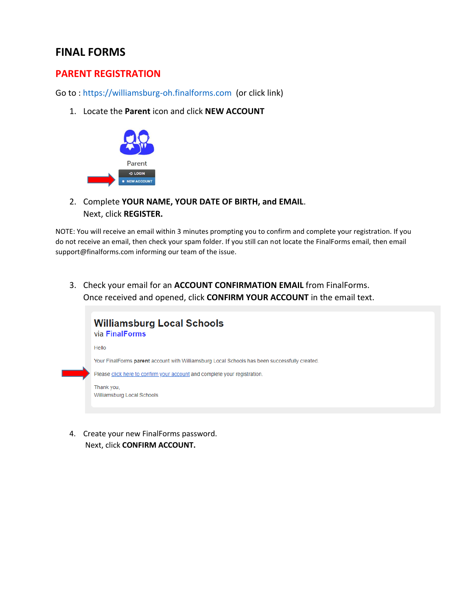## **FINAL FORMS**

## **PARENT REGISTRATION**

Go to : [https://williamsburg-oh.finalforms.com](https://williamsburg-oh.finalforms.com/) (or click link)

1. Locate the **Parent** icon and click **NEW ACCOUNT**



2. Complete **YOUR NAME, YOUR DATE OF BIRTH, and EMAIL**. Next, click **REGISTER.**

NOTE: You will receive an email within 3 minutes prompting you to confirm and complete your registration. If you do not receive an email, then check your spam folder. If you still can not locate the FinalForms email, then email support@finalforms.com informing our team of the issue.

3. Check your email for an **ACCOUNT CONFIRMATION EMAIL** from FinalForms. Once received and opened, click **CONFIRM YOUR ACCOUNT** in the email text.



4. Create your new FinalForms password. Next, click **CONFIRM ACCOUNT.**